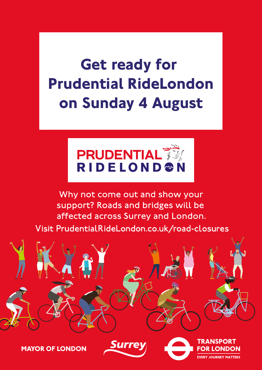**Get ready for Prudential RideLondon on Sunday 4 August**



Why not come out and show your support? Roads and bridges will be affected across Surrey and London. Visit PrudentialRideLondon.co.uk/road-closures



**MAYOR OF LONDON** 

**Y JOURNEY MATTERS** 

**R LONDON**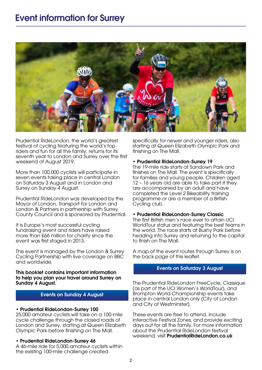

Prudential RideLondon, the world's greatest festival of cycling featuring the world's top riders and fun for all the family, returns for its seventh year to London and Surrey over the first weekend of August 2019.

More than 100,000 cyclists will participate in seven events taking place in central London on Saturday 3 August and in London and Surrey on Sunday 4 August.

Prudential RideLondon was developed by the Mayor of London, Transport for London and London & Partners in partnership with Surrey County Council and is sponsored by Prudential.

It is Europe's most successful cycling fundraising event and riders have raised more than £66 million for charity since the event was first staged in 2013.

The event is managed by the London & Surrey Cycling Partnership with live coverage on BBC and worldwide.

#### This booklet contains important information to help you plan your travel around Surrey on Sunday 4 August.

### Events on Sunday 4 August

### • Prudential RideLondon-Surrey 100

25,000 amateur cyclists will take on a 100-mile cycle challenge through the closed roads of London and Surrey, starting at Queen Elizabeth Olympic Park before finishing on The Mall.

### • Prudential RideLondon-Surrey 46

A 46-mile ride for 5,000 amateur cyclists within the existing 100-mile challenge created

specifically for newer and younger riders, also starting at Queen Elizabeth Olympic Park and finishing on The Mall.

#### • Prudential RideLondon-Surrey 19

The 19-mile ride starts at Sandown Park and finishes on The Mall. The event is specifically for families and young people. Children aged 12 – 16 years old are able to take part if they are accompanied by an adult and have completed the Level 2 Bikeability training programme or are a member of a British Cycling club.

#### • Prudential RideLondon-Surrey Classic

The first British men's race ever to attain UCI WorldTour status and featuring the best teams in the world. The race starts at Bushy Park before heading into Surrey and returning to the capital to finish on The Mall.

A map of the event routes through Surrey is on the back page of this leaflet.

#### Events on Saturday 3 August

The Prudential RideLondon FreeCycle, Classique (as part of the UCI Women's WorldTour), and Brompton World Championship events take place in central London only (City of London and City of Westminster).

These events are free to attend, include interactive Festival Zones, and provide exciting days out for all the family. For more information about the Prudential RideLondon festival weekend, visit PrudentialRideLondon.co.uk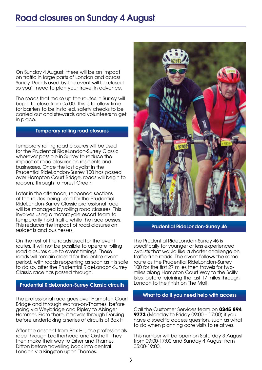On Sunday 4 August, there will be an impact on traffic in large parts of London and across Surrey. Roads used by the event will be closed so you'll need to plan your travel in advance.

The roads that make up the routes in Surrey will begin to close from 05:00. This is to allow time for barriers to be installed, safety checks to be carried out and stewards and volunteers to get in place.

# Temporary rolling road closures

Temporary rolling road closures will be used for the Prudential RideLondon-Surrey Classic wherever possible in Surrey to reduce the impact of road closures on residents and businesses. Once the last cyclist in the Prudential RideLondon-Surrey 100 has passed over Hampton Court Bridge, roads will begin to reopen, through to Forest Green.

Later in the afternoon, reopened sections of the routes being used for the Prudential RideLondon-Surrey Classic professional race will be managed by rolling road closures. This involves using a motorcycle escort team to temporarily hold traffic while the race passes. This reduces the impact of road closures on residents and businesses.

On the rest of the roads used for the event routes, it will not be possible to operate rolling road closures due to event timings. These roads will remain closed for the entire event period, with roads reopening as soon as it is safe to do so, after the Prudential RideLondon-Surrey Classic race has passed through.

# Prudential RideLondon-Surrey Classic circuits

The professional race goes over Hampton Court Bridge and through Walton-on-Thames, before going via Weybridge and Ripley to Abinger Hammer. From there, it travels through Dorking before undertaking a series of circuits of Box Hill.

After the descent from Box Hill, the professionals race through Leatherhead and Oxshott. They then make their way to Esher and Thames Ditton before travelling back into central London via Kingston upon Thames.



### Prudential RideLondon-Surrey 46

The Prudential RideLondon-Surrey 46 is specifically for younger or less experienced cyclists that would like a shorter challenge on traffic-free roads. The event follows the same route as the Prudential RideLondon-Surrey 100 for the first 27 miles then travels for twomiles along Hampton Court Way to the Scilly Isles, before rejoining the last 17 miles through London to the finish on The Mall.

### What to do if you need help with access

Call the Customer Services team on **0345 894 9773** (Monday to Friday 09:00 – 17:00) if you have a specific access question, such as what to do when planning care visits to relatives.

This number will be open on Saturday 3 August from 09:00-17:00 and Sunday 4 August from 05:00-19:00.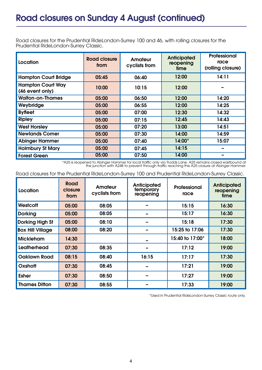Road closures for the Prudential RideLondon-Surrey 100 and 46, with rolling closures for the Prudential RideLondon-Surrey Classic.

| Location                                    | <b>Road closure</b><br>from | <b>Amateur</b><br>cyclists from | <b>Anticipated</b><br>reopening<br>time | Professional<br>race<br>(rolling closure) |
|---------------------------------------------|-----------------------------|---------------------------------|-----------------------------------------|-------------------------------------------|
| <b>Hampton Court Bridge</b>                 | 05:45                       | 06:40                           | 12:00                                   | 14:11                                     |
| <b>Hampton Court Way</b><br>(46 event only) | 10:00                       | 10:15                           | 12:00                                   |                                           |
| <b>Walton-on-Thames</b>                     | 05:00                       | 06:50                           | 12:00                                   | 14:20                                     |
| Weybridge                                   | 05:00                       | 06:55                           | 12:00                                   | 14:25                                     |
| <b>Byfleet</b>                              | 05:00                       | 07:00                           | 12:30                                   | 14:32                                     |
| <b>Ripley</b>                               | 05:00                       | 07:15                           | 12:45                                   | 14:43                                     |
| <b>West Horsley</b>                         | 05:00                       | 07:20                           | 13:00                                   | 14:51                                     |
| <b>Newlands Corner</b>                      | 05:00                       | 07:30                           | 14:00                                   | 14:59                                     |
| <b>Abinger Hammer</b>                       | 05:00                       | 07:40                           | $14:00*$                                | 15:07                                     |
| <b>Holmbury St Mary</b>                     | 05:00                       | 07:45                           | 14:15                                   |                                           |
| <b>Forest Green</b>                         | 05:00                       | 07:50                           | 14:00                                   |                                           |

\*A25 is reopened to Abinger Hammer for local traffic only via Trodds Lane. A25 remains closed eastbound at the junction with A248 to prevent through traffic reaching the A25 closure at Abinger Hammer.

| Road closures for the Prudential RideLondon-Surrey 100 and Prudential RideLondon-Surrey Classic. |
|--------------------------------------------------------------------------------------------------|
|--------------------------------------------------------------------------------------------------|

| Location                | Road<br>closure<br>from | Amateur<br>cyclists from | Anticipated<br>temporary<br>reopening | Professional<br>race | <b>Anticipated</b><br>reopening<br>time |
|-------------------------|-------------------------|--------------------------|---------------------------------------|----------------------|-----------------------------------------|
| Westcott                | 05:00                   | 08:05                    |                                       | 15:15                | 16:30                                   |
| <b>Dorking</b>          | 05:00                   | 08:05                    |                                       | 15:17                | 16:30                                   |
| <b>Dorking High St</b>  | 05:00                   | 08:10                    |                                       | 15:18                | 17:30                                   |
| <b>Box Hill Village</b> | 08:00                   | 08:20                    |                                       | 15:25 to 17:06       | 17:30                                   |
| <b>Mickleham</b>        | 14:30                   |                          |                                       | 15:40 to 17:00*      | 18:00                                   |
| Leatherhead             | 07:30                   | 08:35                    |                                       | 17:12                | 19:00                                   |
| <b>Oaklawn Road</b>     | 08:15                   | 08:40                    | 16:15                                 | 17:17                | 17:30                                   |
| Oxshott                 | 07:30                   | 08:45                    |                                       | 17:21                | 19:00                                   |
| <b>Esher</b>            | 07:30                   | 08:50                    |                                       | 17:27                | 19:00                                   |
| <b>Thames Ditton</b>    | 07:30                   | 08:55                    |                                       | 17:33                | 19:00                                   |

\*Used in Prudential RideLondon-Surrey Classic route only.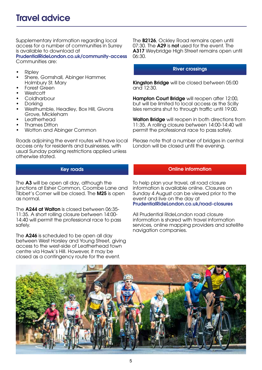Supplementary information regarding local access for a number of communities in Surrey is available to download at

PrudentialRideLondon.co.uk/community-access Communities are:

- Ripley
- Shere, Gomshall, Abinger Hammer, Holmbury St. Mary
- Forest Green
- Westcott
- **Coldharbour**
- Dorking
- Westhumble, Headley, Box Hill, Givons Grove, Mickleham
- Leatherhead
- Thames Ditton
- Wotton and Abinger Common

Roads adjoining the event routes will have local access only for residents and businesses, with usual Sunday parking restrictions applied unless otherwise stated.

# Key roads

The A3 will be open all day, although the junctions at Esher Common, Coombe Lane and Tibbet's Corner will be closed. The M25 is open as normal.

The **A244 at Walton** is closed between 06:35-11:35. A short rolling closure between 14:00- 14:40 will permit the professional race to pass safely.

The A246 is scheduled to be open all day between West Horsley and Young Street, giving access to the west-side of Leatherhead town centre via Hawk's Hill. However, it may be closed as a contingency route for the event.

The **B2126**, Ockley Road remains open until 07:30. The A29 is not used for the event. The A317 Weybridge High Street remains open until 06:30.

### River crossings

Kingston Bridge will be closed between 05:00 and 12:30.

Hampton Court Bridge will reopen after 12:00, but will be limited to local access as the Scilly Isles remains shut to through traffic until 19:00.

Walton Bridge will reopen in both directions from 11:35. A rolling closure between 14:00-14:40 will permit the professional race to pass safely.

Please note that a number of bridges in central London will be closed until the evening.

# Online information

To help plan your travel, all road closure information is available online. Closures on Sunday 4 August can be viewed prior to the event and live on the day at PrudentialRideLondon.co.uk/road-closures

All Prudential Ridel ondon road closure information is shared with travel information services, online mapping providers and satellite navigation companies.

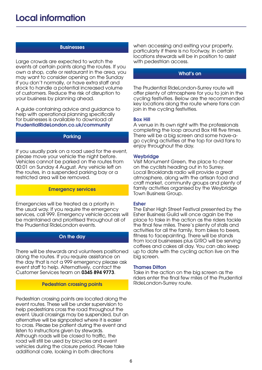### **Businesses**

Large crowds are expected to watch the events at certain points along the routes. If you own a shop, cafe or restaurant in the area, you may want to consider opening on the Sunday if you don't normally, or have extra staff and stock to handle a potential increased volume of customers. Reduce the risk of disruption to your business by planning ahead.

A guide containing advice and guidance to help with operational planning specifically for businesses is available to download at PrudentialRideLondon.co.uk/community

### Parking

If you usually park on a road used for the event, please move your vehicle the night before. Vehicles cannot be parked on the routes from 00:01 on Sunday 4 August. Any vehicle left on the routes, in a suspended parking bay or a restricted area will be removed.

### Emergency services

Emergencies will be treated as a priority in the usual way. If you require the emergency services, call 999. Emergency vehicle access will be maintained and prioritised throughout all of the Prudential RideLondon events.

# On the day

There will be stewards and volunteers positioned along the routes. If you require assistance on the day that is not a 999 emergency please ask event staff to help. Alternatively, contact the Customer Services team on 0345 894 9773.

#### Pedestrian crossing points

Pedestrian crossing points are located along the event routes. These will be under supervision to help pedestrians cross the road throughout the event. Usual crossings may be suspended, but an alternative will be signposted where it is easier to cross. Please be patient during the event and listen to instructions given by stewards. Although roads will be closed to traffic, the road will still be used by bicycles and event vehicles during the closure period. Please take additional care, looking in both directions

when accessing and exiting your property, particularly if there is no footway. In certain locations stewards will be in position to assist with pedestrian access.

# What's on

The Prudential RideLondon-Surrey route will offer plenty of atmosphere for you to join in the cycling festivities. Below are the recommended key locations along the route where fans can join in the cycling festivities.

#### Box Hill

A venue in its own right with the professionals completing the loop around Box Hill five times. There will be a big screen and some have-ago cycling activities at the top for avid fans to enjoy throughout the day.

#### **Weybridge**

Visit Monument Green, the place to cheer on the cyclists heading out in to Surrey. Local Brooklands radio will provide a great atmosphere, along with the artisan food and craft market, community groups and plenty of family activities organised by the Weybridge Town Business Group.

#### Esher

The Esher High Street Festival presented by the Esher Business Guild will once again be the place to take in the action as the riders tackle the final few miles. There's plenty of stalls and activities for all the family, from bikes to beers, fitness to facepainting. There will be stands from local businesses plus G!RO will be serving coffees and cakes all day. You can also keep up to date with the cycling action live on the big screen.

#### **Thames Ditton**

Take in the action on the big screen as the riders enter the final few miles of the Prudential RideLondon-Surrey route.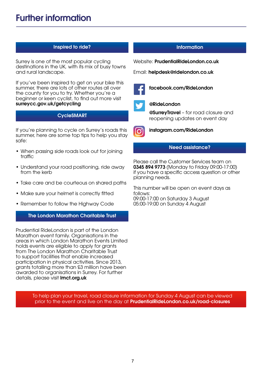# Inspired to ride? Information

Surrey is one of the most popular cycling destinations in the UK, with its mix of busy towns and rural landscape.

If you've been inspired to get on your bike this summer, there are lots of other routes all over the county for you to try. Whether you're a beginner or keen cyclist, to find out more visit surreycc.gov.uk/getcycling

# CycleSMART

If you're planning to cycle on Surrey's roads this summer, here are some top tips to help you stay safe:

- When passing side roads look out for joining traffic
- Understand your road positioning, ride away from the kerb
- Take care and be courteous on shared paths
- Make sure your helmet is correctly fitted
- Remember to follow the Highway Code

# The London Marathon Charitable Trust

Prudential RideLondon is part of the London Marathon event family. Organisations in the areas in which London Marathon Events Limited holds events are eligible to apply for grants from The London Marathon Charitable Trust to support facilities that enable increased participation in physical activities. Since 2013, grants totalling more than £3 million have been awarded to organisations in Surrey. For further details, please visit **Imct.org.uk** 

Website: PrudentialRideLondon.co.uk

Email: helpdesk@ridelondon.co.uk



facebook.com/RideLondon



# @RideLondon

**@SurreyTravel** - for road closure and reopening updates on event day



instagram.com/RideLondon

# Need assistance?

Please call the Customer Services team on 0345 894 9773 (Monday to Friday 09:00-17:00) if you have a specific access question or other planning needs.

This number will be open on event days as follows: 09:00-17:00 on Saturday 3 August 05:00-19:00 on Sunday 4 August

To help plan your travel, road closure information for Sunday 4 August can be viewed prior to the event and live on the day at **PrudentialRideLondon.co.uk/road-closures**